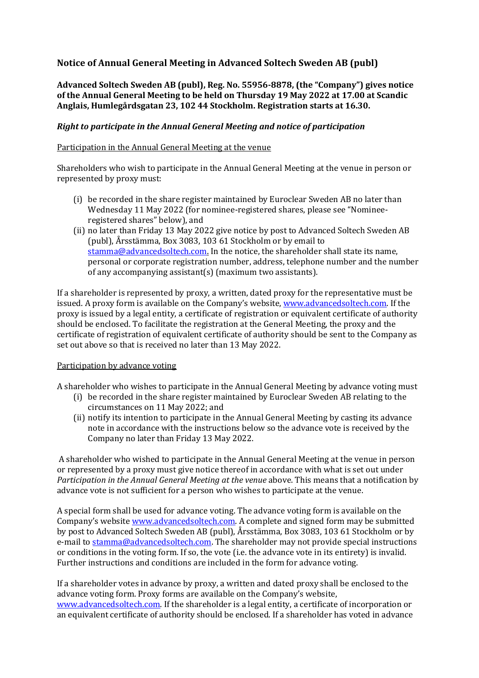# **Notice of Annual General Meeting in Advanced Soltech Sweden AB (publ)**

**Advanced Soltech Sweden AB (publ), Reg. No. 55956-8878, (the "Company") gives notice of the Annual General Meeting to be held on Thursday 19 May 2022 at 17.00 at Scandic Anglais, Humlegårdsgatan 23, 102 44 Stockholm. Registration starts at 16.30.**

#### *Right to participate in the Annual General Meeting and notice of participation*

#### Participation in the Annual General Meeting at the venue

Shareholders who wish to participate in the Annual General Meeting at the venue in person or represented by proxy must:

- (i) be recorded in the share register maintained by Euroclear Sweden AB no later than Wednesday 11 May 2022 (for nominee-registered shares, please see "Nomineeregistered shares" below), and
- (ii) no later than Friday 13 May 2022 give notice by post to Advanced Soltech Sweden AB (publ), Årsstämma, Box 3083, 103 61 Stockholm or by email to [stamma@advancedsoltech.com.](mailto:stamma@advancedsoltech.com) In the notice, the shareholder shall state its name, personal or corporate registration number, address, telephone number and the number of any accompanying assistant(s) (maximum two assistants).

If a shareholder is represented by proxy, a written, dated proxy for the representative must be issued. A proxy form is available on the Company's website, [www.advancedsoltech.com.](http://www.advancedsoltech.com/) If the proxy is issued by a legal entity, a certificate of registration or equivalent certificate of authority should be enclosed. To facilitate the registration at the General Meeting, the proxy and the certificate of registration of equivalent certificate of authority should be sent to the Company as set out above so that is received no later than 13 May 2022.

### Participation by advance voting

A shareholder who wishes to participate in the Annual General Meeting by advance voting must

- (i) be recorded in the share register maintained by Euroclear Sweden AB relating to the circumstances on 11 May 2022; and
- (ii) notify its intention to participate in the Annual General Meeting by casting its advance note in accordance with the instructions below so the advance vote is received by the Company no later than Friday 13 May 2022.

A shareholder who wished to participate in the Annual General Meeting at the venue in person or represented by a proxy must give notice thereof in accordance with what is set out under *Participation in the Annual General Meeting at the venue* above. This means that a notification by advance vote is not sufficient for a person who wishes to participate at the venue.

A special form shall be used for advance voting. The advance voting form is available on the Company's website [www.advancedsoltech.com.](http://www.advancedsoltech.com/) A complete and signed form may be submitted by post to Advanced Soltech Sweden AB (publ), Årsstämma, Box 3083, 103 61 Stockholm or by e-mail to [stamma@advancedsoltech.com.](mailto:stamma@advancedsoltech.com) The shareholder may not provide special instructions or conditions in the voting form. If so, the vote (i.e. the advance vote in its entirety) is invalid. Further instructions and conditions are included in the form for advance voting.

If a shareholder votes in advance by proxy, a written and dated proxy shall be enclosed to the advance voting form. Proxy forms are available on the Company's website, [www.advancedsoltech.com.](http://www.advancedsoltech.com/) If the shareholder is a legal entity, a certificate of incorporation or an equivalent certificate of authority should be enclosed. If a shareholder has voted in advance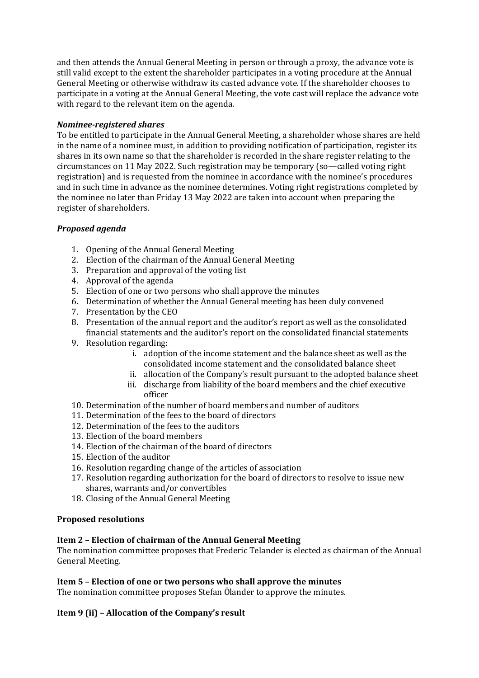and then attends the Annual General Meeting in person or through a proxy, the advance vote is still valid except to the extent the shareholder participates in a voting procedure at the Annual General Meeting or otherwise withdraw its casted advance vote. If the shareholder chooses to participate in a voting at the Annual General Meeting, the vote cast will replace the advance vote with regard to the relevant item on the agenda.

## *Nominee-registered shares*

To be entitled to participate in the Annual General Meeting, a shareholder whose shares are held in the name of a nominee must, in addition to providing notification of participation, register its shares in its own name so that the shareholder is recorded in the share register relating to the circumstances on 11 May 2022. Such registration may be temporary (so—called voting right registration) and is requested from the nominee in accordance with the nominee's procedures and in such time in advance as the nominee determines. Voting right registrations completed by the nominee no later than Friday 13 May 2022 are taken into account when preparing the register of shareholders.

## *Proposed agenda*

- 1. Opening of the Annual General Meeting
- 2. Election of the chairman of the Annual General Meeting
- 3. Preparation and approval of the voting list
- 4. Approval of the agenda
- 5. Election of one or two persons who shall approve the minutes
- 6. Determination of whether the Annual General meeting has been duly convened
- 7. Presentation by the CEO
- 8. Presentation of the annual report and the auditor's report as well as the consolidated financial statements and the auditor's report on the consolidated financial statements
- 9. Resolution regarding:
	- i. adoption of the income statement and the balance sheet as well as the consolidated income statement and the consolidated balance sheet
	- ii. allocation of the Company's result pursuant to the adopted balance sheet
	- iii. discharge from liability of the board members and the chief executive officer
- 10. Determination of the number of board members and number of auditors
- 11. Determination of the fees to the board of directors
- 12. Determination of the fees to the auditors
- 13. Election of the board members
- 14. Election of the chairman of the board of directors
- 15. Election of the auditor
- 16. Resolution regarding change of the articles of association
- 17. Resolution regarding authorization for the board of directors to resolve to issue new shares, warrants and/or convertibles
- 18. Closing of the Annual General Meeting

### **Proposed resolutions**

### **Item 2 – Election of chairman of the Annual General Meeting**

The nomination committee proposes that Frederic Telander is elected as chairman of the Annual General Meeting.

### **Item 5 – Election of one or two persons who shall approve the minutes**

The nomination committee proposes Stefan Ölander to approve the minutes.

# **Item 9 (ii) – Allocation of the Company's result**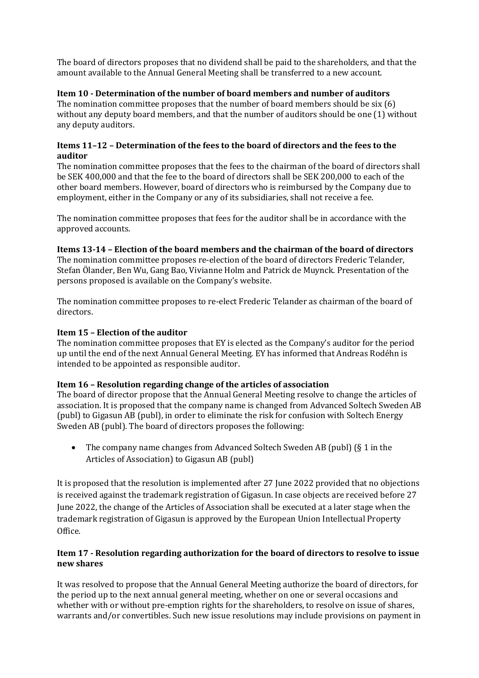The board of directors proposes that no dividend shall be paid to the shareholders, and that the amount available to the Annual General Meeting shall be transferred to a new account.

## **Item 10 - Determination of the number of board members and number of auditors**

The nomination committee proposes that the number of board members should be six (6) without any deputy board members, and that the number of auditors should be one (1) without any deputy auditors.

### **Items 11–12 – Determination of the fees to the board of directors and the fees to the auditor**

The nomination committee proposes that the fees to the chairman of the board of directors shall be SEK 400,000 and that the fee to the board of directors shall be SEK 200,000 to each of the other board members. However, board of directors who is reimbursed by the Company due to employment, either in the Company or any of its subsidiaries, shall not receive a fee.

The nomination committee proposes that fees for the auditor shall be in accordance with the approved accounts.

## **Items 13-14 – Election of the board members and the chairman of the board of directors**

The nomination committee proposes re-election of the board of directors Frederic Telander, Stefan Ölander, Ben Wu, Gang Bao, Vivianne Holm and Patrick de Muynck. Presentation of the persons proposed is available on the Company's website.

The nomination committee proposes to re-elect Frederic Telander as chairman of the board of directors.

### **Item 15 – Election of the auditor**

The nomination committee proposes that EY is elected as the Company's auditor for the period up until the end of the next Annual General Meeting. EY has informed that Andreas Rodéhn is intended to be appointed as responsible auditor.

### **Item 16 – Resolution regarding change of the articles of association**

The board of director propose that the Annual General Meeting resolve to change the articles of association. It is proposed that the company name is changed from Advanced Soltech Sweden AB (publ) to Gigasun AB (publ), in order to eliminate the risk for confusion with Soltech Energy Sweden AB (publ). The board of directors proposes the following:

• The company name changes from Advanced Soltech Sweden AB (publ) (§ 1 in the Articles of Association) to Gigasun AB (publ)

It is proposed that the resolution is implemented after 27 June 2022 provided that no objections is received against the trademark registration of Gigasun. In case objects are received before 27 June 2022, the change of the Articles of Association shall be executed at a later stage when the trademark registration of Gigasun is approved by the European Union Intellectual Property Office.

## **Item 17 - Resolution regarding authorization for the board of directors to resolve to issue new shares**

It was resolved to propose that the Annual General Meeting authorize the board of directors, for the period up to the next annual general meeting, whether on one or several occasions and whether with or without pre-emption rights for the shareholders, to resolve on issue of shares, warrants and/or convertibles. Such new issue resolutions may include provisions on payment in